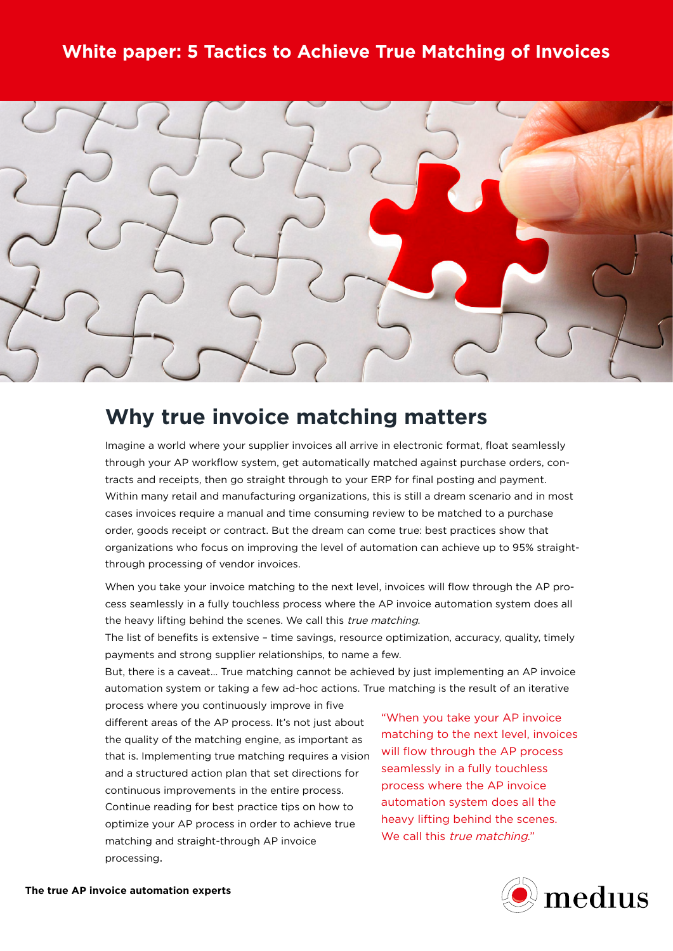# **White paper: 5 Tactics to Achieve True Matching of Invoices**



# **Why true invoice matching matters**

Imagine a world where your supplier invoices all arrive in electronic format, float seamlessly through your AP workflow system, get automatically matched against purchase orders, contracts and receipts, then go straight through to your ERP for final posting and payment. Within many retail and manufacturing organizations, this is still a dream scenario and in most cases invoices require a manual and time consuming review to be matched to a purchase order, goods receipt or contract. But the dream can come true: best practices show that organizations who focus on improving the level of automation can achieve up to 95% straightthrough processing of vendor invoices.

When you take your invoice matching to the next level, invoices will flow through the AP process seamlessly in a fully touchless process where the AP invoice automation system does all the heavy lifting behind the scenes. We call this true matching.

The list of benefits is extensive – time savings, resource optimization, accuracy, quality, timely payments and strong supplier relationships, to name a few.

But, there is a caveat… True matching cannot be achieved by just implementing an AP invoice automation system or taking a few ad-hoc actions. True matching is the result of an iterative process where you continuously improve in five

different areas of the AP process. It's not just about the quality of the matching engine, as important as that is. Implementing true matching requires a vision and a structured action plan that set directions for continuous improvements in the entire process. Continue reading for best practice tips on how to optimize your AP process in order to achieve true matching and straight-through AP invoice processing.

"When you take your AP invoice matching to the next level, invoices will flow through the AP process seamlessly in a fully touchless process where the AP invoice automation system does all the heavy lifting behind the scenes. We call this *true matching.*"

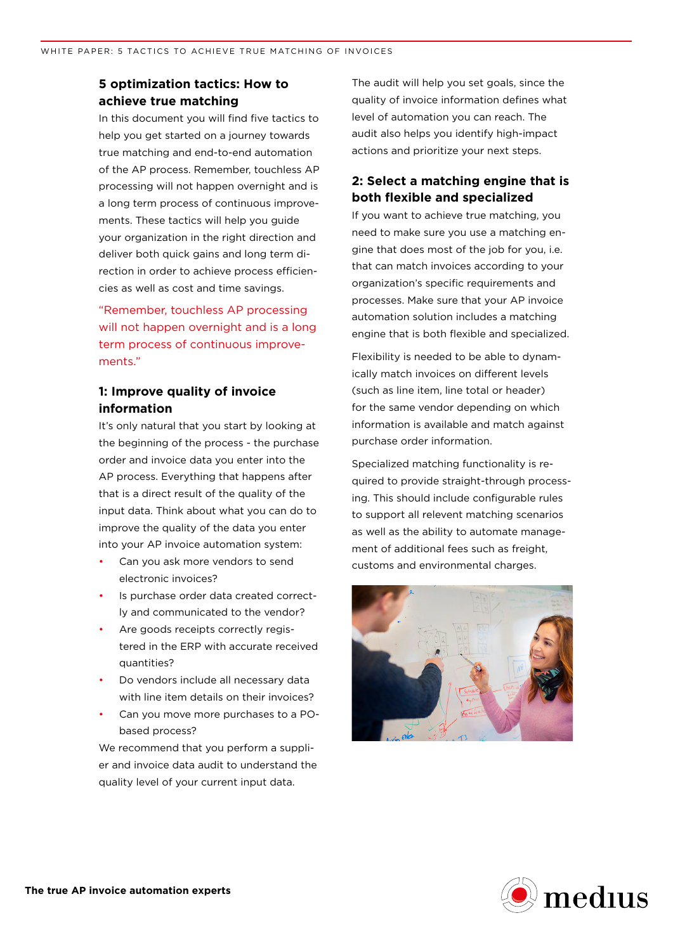#### **5 optimization tactics: How to achieve true matching**

In this document you will find five tactics to help you get started on a journey towards true matching and end-to-end automation of the AP process. Remember, touchless AP processing will not happen overnight and is a long term process of continuous improvements. These tactics will help you guide your organization in the right direction and deliver both quick gains and long term direction in order to achieve process efficiencies as well as cost and time savings.

"Remember, touchless AP processing will not happen overnight and is a long term process of continuous improvements."

#### **1: Improve quality of invoice information**

It's only natural that you start by looking at the beginning of the process - the purchase order and invoice data you enter into the AP process. Everything that happens after that is a direct result of the quality of the input data. Think about what you can do to improve the quality of the data you enter into your AP invoice automation system:

- Can you ask more vendors to send electronic invoices?
- Is purchase order data created correctly and communicated to the vendor?
- Are goods receipts correctly registered in the ERP with accurate received quantities?
- Do vendors include all necessary data with line item details on their invoices?
- Can you move more purchases to a PObased process?

We recommend that you perform a supplier and invoice data audit to understand the quality level of your current input data.

The audit will help you set goals, since the quality of invoice information defines what level of automation you can reach. The audit also helps you identify high-impact actions and prioritize your next steps.

## **2: Select a matching engine that is both flexible and specialized**

If you want to achieve true matching, you need to make sure you use a matching engine that does most of the job for you, i.e. that can match invoices according to your organization's specific requirements and processes. Make sure that your AP invoice automation solution includes a matching engine that is both flexible and specialized.

Flexibility is needed to be able to dynamically match invoices on different levels (such as line item, line total or header) for the same vendor depending on which information is available and match against purchase order information.

Specialized matching functionality is required to provide straight-through processing. This should include configurable rules to support all relevent matching scenarios as well as the ability to automate management of additional fees such as freight, customs and environmental charges.



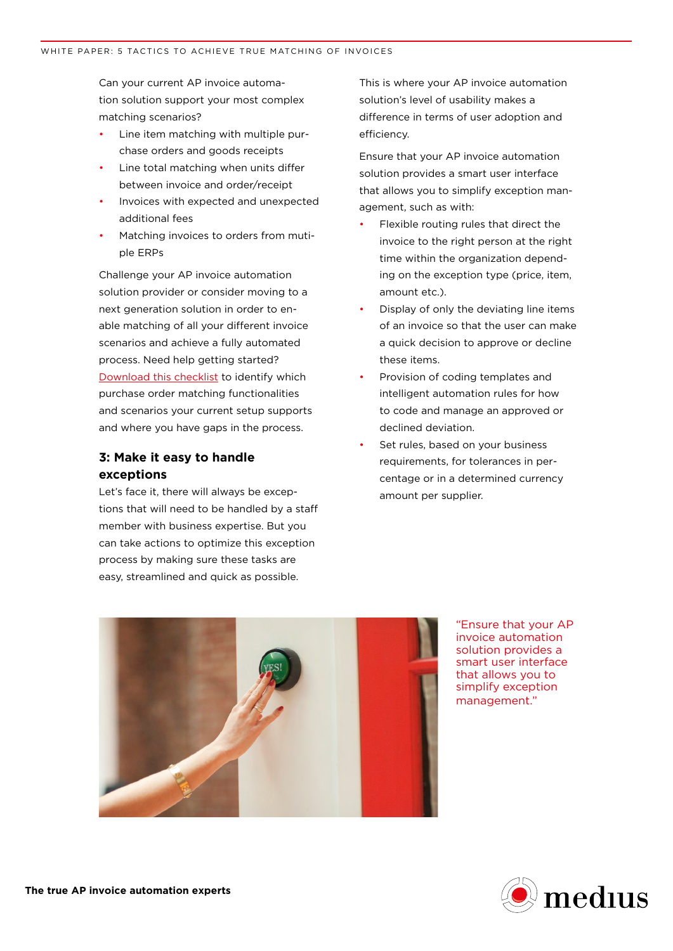Can your current AP invoice automation solution support your most complex matching scenarios?

- Line item matching with multiple purchase orders and goods receipts
- Line total matching when units differ between invoice and order/receipt
- Invoices with expected and unexpected additional fees
- Matching invoices to orders from mutiple ERPs

Challenge your AP invoice automation solution provider or consider moving to a next generation solution in order to enable matching of all your different invoice scenarios and achieve a fully automated process. Need help getting started? [Download this checklist](http://www2.mediusflow.com/truematchingchecklist) to identify which purchase order matching functionalities and scenarios your current setup supports and where you have gaps in the process.

#### **3: Make it easy to handle exceptions**

Let's face it, there will always be exceptions that will need to be handled by a staff member with business expertise. But you can take actions to optimize this exception process by making sure these tasks are easy, streamlined and quick as possible.

This is where your AP invoice automation solution's level of usability makes a difference in terms of user adoption and efficiency.

Ensure that your AP invoice automation solution provides a smart user interface that allows you to simplify exception management, such as with:

- Flexible routing rules that direct the invoice to the right person at the right time within the organization depending on the exception type (price, item, amount etc.).
- Display of only the deviating line items of an invoice so that the user can make a quick decision to approve or decline these items.
- Provision of coding templates and intelligent automation rules for how to code and manage an approved or declined deviation.
- Set rules, based on your business requirements, for tolerances in percentage or in a determined currency amount per supplier.



"Ensure that your AP invoice automation solution provides a smart user interface that allows you to simplify exception management."

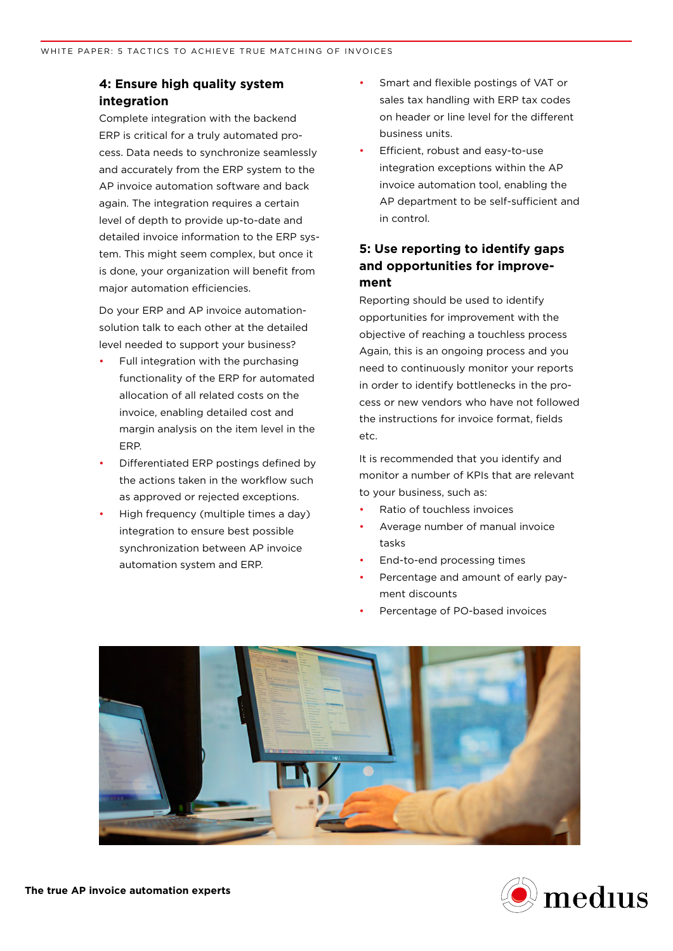#### **4: Ensure high quality system integration**

Complete integration with the backend ERP is critical for a truly automated process. Data needs to synchronize seamlessly and accurately from the ERP system to the AP invoice automation software and back again. The integration requires a certain level of depth to provide up-to-date and detailed invoice information to the ERP system. This might seem complex, but once it is done, your organization will benefit from major automation efficiencies.

Do your ERP and AP invoice automationsolution talk to each other at the detailed level needed to support your business?

- Full integration with the purchasing functionality of the ERP for automated allocation of all related costs on the invoice, enabling detailed cost and margin analysis on the item level in the ERP.
- Differentiated ERP postings defined by the actions taken in the workflow such as approved or rejected exceptions.
- High frequency (multiple times a day) integration to ensure best possible synchronization between AP invoice automation system and ERP.
- Smart and flexible postings of VAT or sales tax handling with ERP tax codes on header or line level for the different business units.
- Efficient, robust and easy-to-use integration exceptions within the AP invoice automation tool, enabling the AP department to be self-sufficient and in control.

### **5: Use reporting to identify gaps and opportunities for improvement**

Reporting should be used to identify opportunities for improvement with the objective of reaching a touchless process Again, this is an ongoing process and you need to continuously monitor your reports in order to identify bottlenecks in the process or new vendors who have not followed the instructions for invoice format, fields etc.

It is recommended that you identify and monitor a number of KPIs that are relevant to your business, such as:

- Ratio of touchless invoices
- Average number of manual invoice tasks
- End-to-end processing times
- Percentage and amount of early payment discounts
- Percentage of PO-based invoices